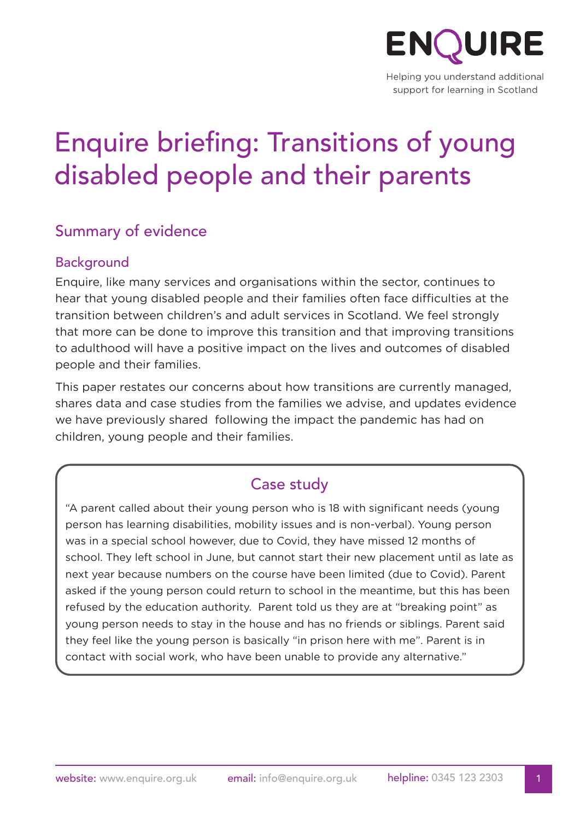

Helping you understand additional support for learning in Scotland

# Enquire briefing: Transitions of young disabled people and their parents

## Summary of evidence

#### Background

Enquire, like many services and organisations within the sector, continues to hear that young disabled people and their families often face difficulties at the transition between children's and adult services in Scotland. We feel strongly that more can be done to improve this transition and that improving transitions to adulthood will have a positive impact on the lives and outcomes of disabled people and their families.

This paper restates our concerns about how transitions are currently managed, shares data and case studies from the families we advise, and updates evidence we have previously shared following the impact the pandemic has had on children, young people and their families.

## Case study

"A parent called about their young person who is 18 with significant needs (young person has learning disabilities, mobility issues and is non-verbal). Young person was in a special school however, due to Covid, they have missed 12 months of school. They left school in June, but cannot start their new placement until as late as next year because numbers on the course have been limited (due to Covid). Parent asked if the young person could return to school in the meantime, but this has been refused by the education authority. Parent told us they are at "breaking point" as young person needs to stay in the house and has no friends or siblings. Parent said they feel like the young person is basically "in prison here with me". Parent is in contact with social work, who have been unable to provide any alternative."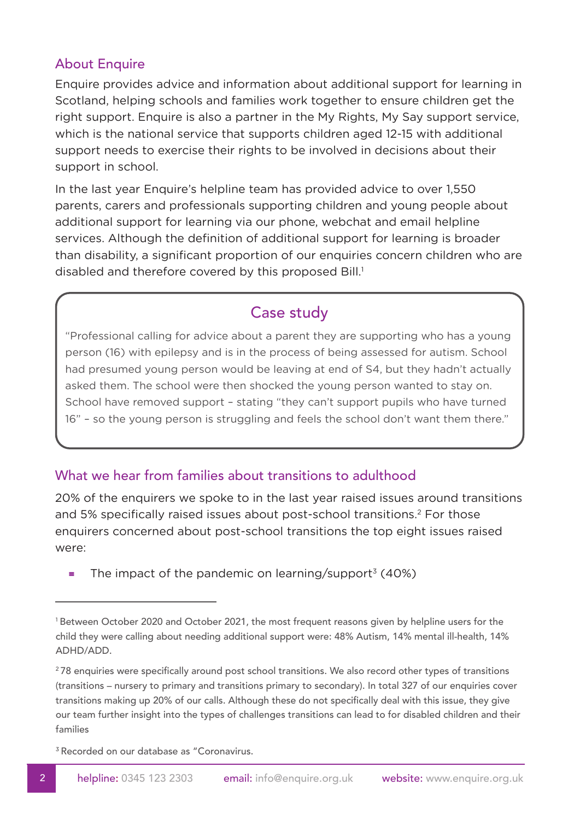#### About Enquire

Enquire provides advice and information about additional support for learning in Scotland, helping schools and families work together to ensure children get the right support. Enquire is also a partner in the My Rights, My Say support service, which is the national service that supports children aged 12-15 with additional support needs to exercise their rights to be involved in decisions about their support in school.

In the last year Enquire's helpline team has provided advice to over 1,550 parents, carers and professionals supporting children and young people about additional support for learning via our phone, webchat and email helpline services. Although the definition of additional support for learning is broader than disability, a significant proportion of our enquiries concern children who are disabled and therefore covered by this proposed Bill.<sup>1</sup>

## Case study

"Professional calling for advice about a parent they are supporting who has a young person (16) with epilepsy and is in the process of being assessed for autism. School had presumed young person would be leaving at end of S4, but they hadn't actually asked them. The school were then shocked the young person wanted to stay on. School have removed support – stating "they can't support pupils who have turned 16" – so the young person is struggling and feels the school don't want them there."

#### What we hear from families about transitions to adulthood

20% of the enquirers we spoke to in the last year raised issues around transitions and 5% specifically raised issues about post-school transitions.<sup>2</sup> For those enquirers concerned about post-school transitions the top eight issues raised were:

The impact of the pandemic on learning/support<sup>3</sup> (40%)

<sup>3</sup> Recorded on our database as "Coronavirus.

<sup>1</sup> Between October 2020 and October 2021, the most frequent reasons given by helpline users for the child they were calling about needing additional support were: 48% Autism, 14% mental ill-health, 14% ADHD/ADD.

<sup>&</sup>lt;sup>2</sup>78 enquiries were specifically around post school transitions. We also record other types of transitions (transitions – nursery to primary and transitions primary to secondary). In total 327 of our enquiries cover transitions making up 20% of our calls. Although these do not specifically deal with this issue, they give our team further insight into the types of challenges transitions can lead to for disabled children and their families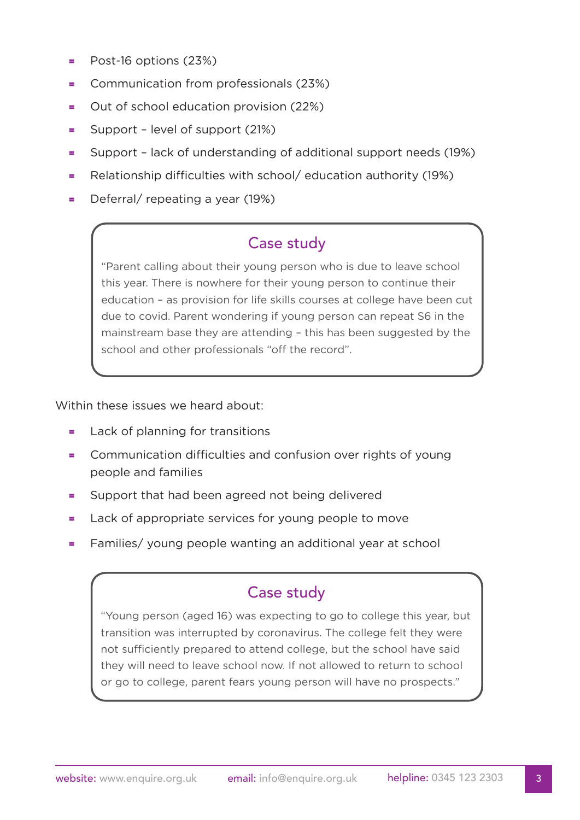- $=$  Post-16 options (23%)
- = Communication from professionals (23%)
- = Out of school education provision (22%)
- = Support level of support (21%)
- = Support lack of understanding of additional support needs (19%)
- = Relationship difficulties with school/ education authority (19%)
- $=$  Deferral/ repeating a year (19%)

## Case study

"Parent calling about their young person who is due to leave school this year. There is nowhere for their young person to continue their education – as provision for life skills courses at college have been cut due to covid. Parent wondering if young person can repeat S6 in the mainstream base they are attending – this has been suggested by the school and other professionals "off the record".

Within these issues we heard about:

- = Lack of planning for transitions
- = Communication difficulties and confusion over rights of young people and families
- = Support that had been agreed not being delivered
- = Lack of appropriate services for young people to move
- = Families/ young people wanting an additional year at school

## Case study

"Young person (aged 16) was expecting to go to college this year, but transition was interrupted by coronavirus. The college felt they were not sufficiently prepared to attend college, but the school have said they will need to leave school now. If not allowed to return to school or go to college, parent fears young person will have no prospects."